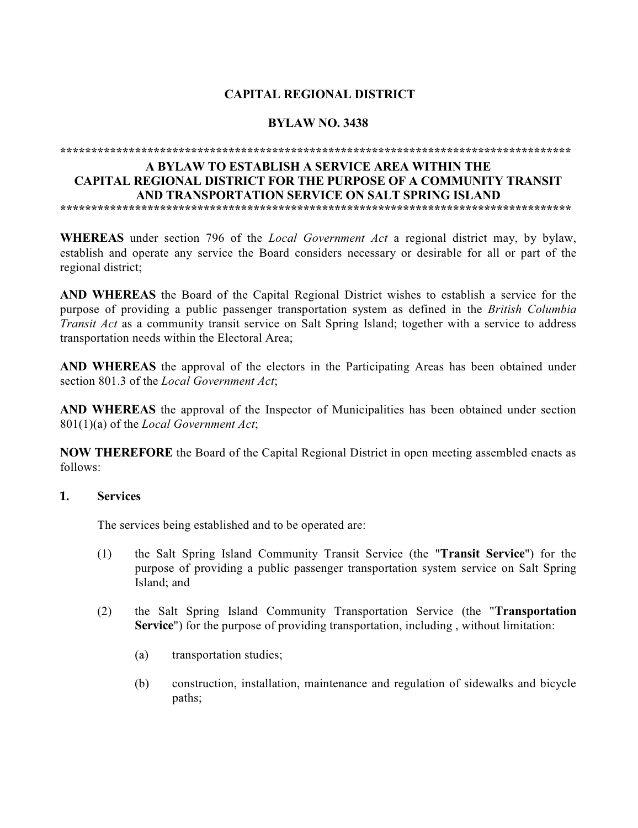# **CAPITAL REGIONAL DISTRICT**

#### **BYLAW NO. 3438**

# 

#### A RYLAW TO ESTABLISH A SERVICE AREA WITHIN THE **CAPITAL REGIONAL DISTRICT FOR THE PURPOSE OF A COMMUNITY TRANSIT** AND TRANSPORTATION SERVICE ON SALT SPRING ISLAND

**WHEREAS** under section 796 of the *Local Government Act* a regional district may, by bylaw, establish and operate any service the Board considers necessary or desirable for all or part of the regional district:

AND WHEREAS the Board of the Capital Regional District wishes to establish a service for the purpose of providing a public passenger transportation system as defined in the *British Columbia* Transit Act as a community transit service on Salt Spring Island; together with a service to address transportation needs within the Electoral Area:

AND WHEREAS the approval of the electors in the Participating Areas has been obtained under section 801.3 of the Local Government Act;

**AND WHEREAS** the approval of the Inspector of Municipalities has been obtained under section 801(1)(a) of the Local Government Act;

**NOW THEREFORE** the Board of the Capital Regional District in open meeting assembled enacts as follows:

#### 1. **Services**

The services being established and to be operated are:

- $(1)$ the Salt Spring Island Community Transit Service (the "**Transit Service**") for the purpose of providing a public passenger transportation system service on Salt Spring Island: and
- $(2)$ the Salt Spring Island Community Transportation Service (the "Transportation" **Service**") for the purpose of providing transportation, including, without limitation:
	- $(a)$ transportation studies;
	- $(b)$ construction, installation, maintenance and regulation of sidewalks and bicycle paths: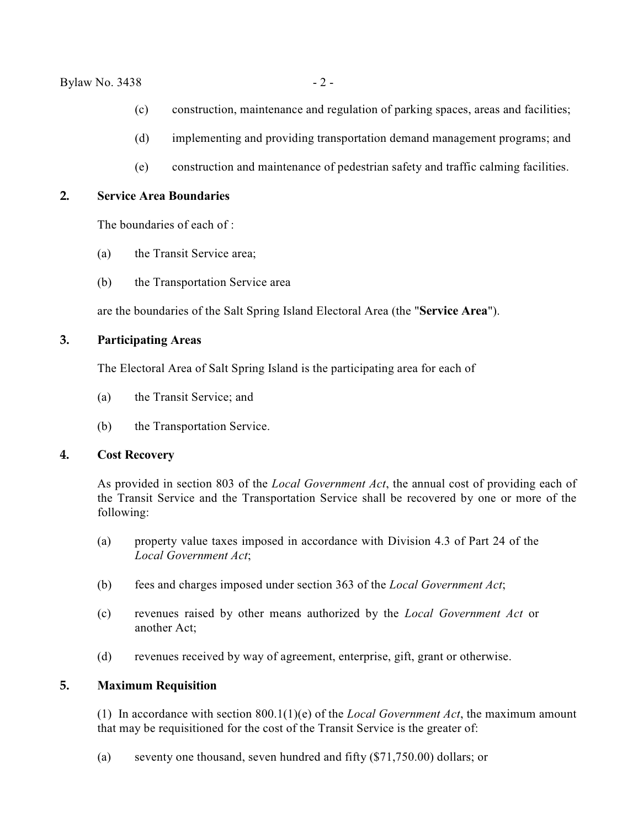#### $Bylaw No. 3438 - 2 -$

- (c) construction, maintenance and regulation of parking spaces, areas and facilities;
- (d) implementing and providing transportation demand management programs; and
- (e) construction and maintenance of pedestrian safety and traffic calming facilities.

#### **2. Service Area Boundaries**

The boundaries of each of :

- (a) the Transit Service area;
- (b) the Transportation Service area

are the boundaries of the Salt Spring Island Electoral Area (the "**Service Area**").

### **3. Participating Areas**

The Electoral Area of Salt Spring Island is the participating area for each of

- (a) the Transit Service; and
- (b) the Transportation Service.

#### **4. Cost Recovery**

As provided in section 803 of the *Local Government Act*, the annual cost of providing each of the Transit Service and the Transportation Service shall be recovered by one or more of the following:

- (a) property value taxes imposed in accordance with Division 4.3 of Part 24 of the *Local Government Act*;
- (b) fees and charges imposed under section 363 of the *Local Government Act*;
- (c) revenues raised by other means authorized by the *Local Government Act* or another Act;
- (d) revenues received by way of agreement, enterprise, gift, grant or otherwise.

## **5. Maximum Requisition**

(1) In accordance with section 800.1(1)(e) of the *Local Government Act*, the maximum amount that may be requisitioned for the cost of the Transit Service is the greater of:

(a) seventy one thousand, seven hundred and fifty (\$71,750.00) dollars; or